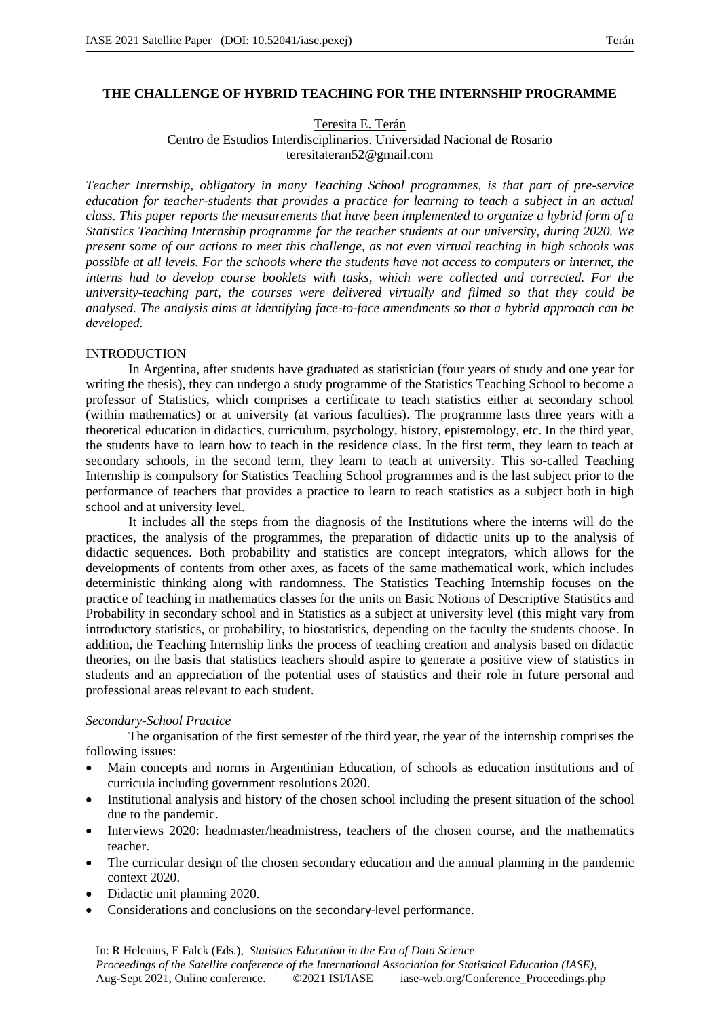# **THE CHALLENGE OF HYBRID TEACHING FOR THE INTERNSHIP PROGRAMME**

Teresita E. Terán

Centro de Estudios Interdisciplinarios. Universidad Nacional de Rosario teresitateran52@gmail.com

*Teacher Internship, obligatory in many Teaching School programmes, is that part of pre-service education for teacher-students that provides a practice for learning to teach a subject in an actual class. This paper reports the measurements that have been implemented to organize a hybrid form of a Statistics Teaching Internship programme for the teacher students at our university, during 2020. We present some of our actions to meet this challenge, as not even virtual teaching in high schools was possible at all levels. For the schools where the students have not access to computers or internet, the interns had to develop course booklets with tasks, which were collected and corrected. For the university-teaching part, the courses were delivered virtually and filmed so that they could be analysed. The analysis aims at identifying face-to-face amendments so that a hybrid approach can be developed.*

## **INTRODUCTION**

In Argentina, after students have graduated as statistician (four years of study and one year for writing the thesis), they can undergo a study programme of the Statistics Teaching School to become a professor of Statistics, which comprises a certificate to teach statistics either at secondary school (within mathematics) or at university (at various faculties). The programme lasts three years with a theoretical education in didactics, curriculum, psychology, history, epistemology, etc. In the third year, the students have to learn how to teach in the residence class. In the first term, they learn to teach at secondary schools, in the second term, they learn to teach at university. This so-called Teaching Internship is compulsory for Statistics Teaching School programmes and is the last subject prior to the performance of teachers that provides a practice to learn to teach statistics as a subject both in high school and at university level.

It includes all the steps from the diagnosis of the Institutions where the interns will do the practices, the analysis of the programmes, the preparation of didactic units up to the analysis of didactic sequences. Both probability and statistics are concept integrators, which allows for the developments of contents from other axes, as facets of the same mathematical work, which includes deterministic thinking along with randomness. The Statistics Teaching Internship focuses on the practice of teaching in mathematics classes for the units on Basic Notions of Descriptive Statistics and Probability in secondary school and in Statistics as a subject at university level (this might vary from introductory statistics, or probability, to biostatistics, depending on the faculty the students choose. In addition, the Teaching Internship links the process of teaching creation and analysis based on didactic theories, on the basis that statistics teachers should aspire to generate a positive view of statistics in students and an appreciation of the potential uses of statistics and their role in future personal and professional areas relevant to each student.

### *Secondary-School Practice*

The organisation of the first semester of the third year, the year of the internship comprises the following issues:

- Main concepts and norms in Argentinian Education, of schools as education institutions and of curricula including government resolutions 2020.
- Institutional analysis and history of the chosen school including the present situation of the school due to the pandemic.
- Interviews 2020: headmaster/headmistress, teachers of the chosen course, and the mathematics teacher.
- The curricular design of the chosen secondary education and the annual planning in the pandemic context 2020.
- Didactic unit planning 2020.
- Considerations and conclusions on the secondary-level performance.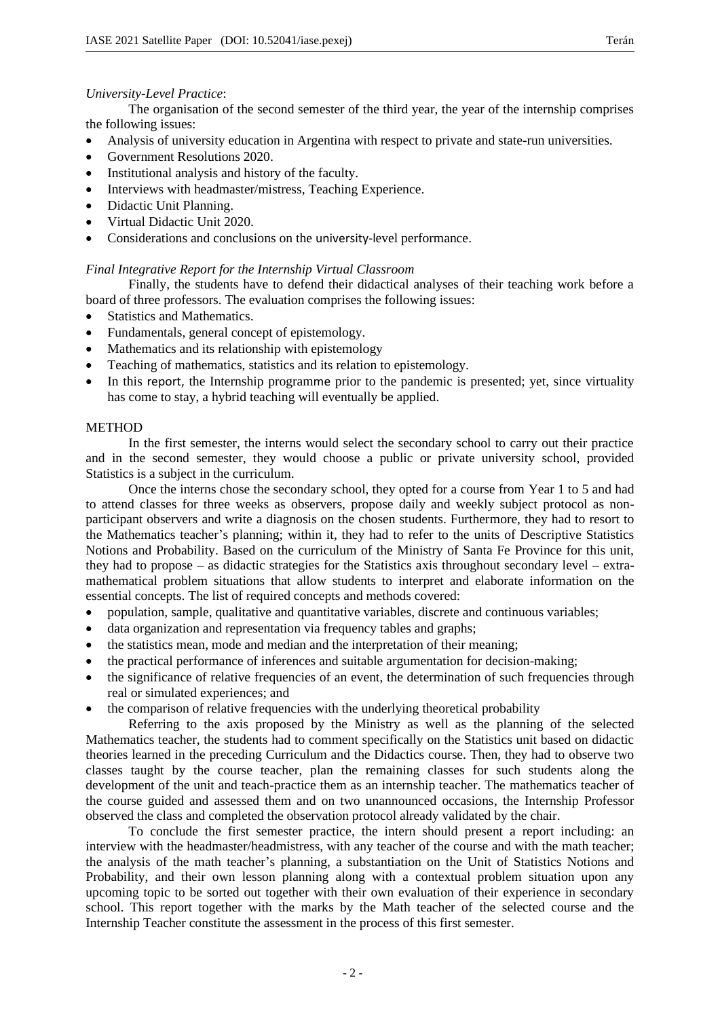The organisation of the second semester of the third year, the year of the internship comprises the following issues:

- Analysis of university education in Argentina with respect to private and state-run universities.
- Government Resolutions 2020.
- Institutional analysis and history of the faculty.
- Interviews with headmaster/mistress, Teaching Experience.
- Didactic Unit Planning.
- Virtual Didactic Unit 2020.
- Considerations and conclusions on the university-level performance.

## *Final Integrative Report for the Internship Virtual Classroom*

Finally, the students have to defend their didactical analyses of their teaching work before a board of three professors. The evaluation comprises the following issues:

- Statistics and Mathematics.
- Fundamentals, general concept of epistemology.
- Mathematics and its relationship with epistemology
- Teaching of mathematics, statistics and its relation to epistemology.
- In this report, the Internship programme prior to the pandemic is presented; yet, since virtuality has come to stay, a hybrid teaching will eventually be applied.

### **METHOD**

In the first semester, the interns would select the secondary school to carry out their practice and in the second semester, they would choose a public or private university school, provided Statistics is a subject in the curriculum.

Once the interns chose the secondary school, they opted for a course from Year 1 to 5 and had to attend classes for three weeks as observers, propose daily and weekly subject protocol as nonparticipant observers and write a diagnosis on the chosen students. Furthermore, they had to resort to the Mathematics teacher's planning; within it, they had to refer to the units of Descriptive Statistics Notions and Probability. Based on the curriculum of the Ministry of Santa Fe Province for this unit, they had to propose – as didactic strategies for the Statistics axis throughout secondary level – extramathematical problem situations that allow students to interpret and elaborate information on the essential concepts. The list of required concepts and methods covered:

- population, sample, qualitative and quantitative variables, discrete and continuous variables;
- data organization and representation via frequency tables and graphs;
- the statistics mean, mode and median and the interpretation of their meaning;
- the practical performance of inferences and suitable argumentation for decision-making;
- the significance of relative frequencies of an event, the determination of such frequencies through real or simulated experiences; and
- the comparison of relative frequencies with the underlying theoretical probability

Referring to the axis proposed by the Ministry as well as the planning of the selected Mathematics teacher, the students had to comment specifically on the Statistics unit based on didactic theories learned in the preceding Curriculum and the Didactics course. Then, they had to observe two classes taught by the course teacher, plan the remaining classes for such students along the development of the unit and teach-practice them as an internship teacher. The mathematics teacher of the course guided and assessed them and on two unannounced occasions, the Internship Professor observed the class and completed the observation protocol already validated by the chair.

To conclude the first semester practice, the intern should present a report including: an interview with the headmaster/headmistress, with any teacher of the course and with the math teacher; the analysis of the math teacher's planning, a substantiation on the Unit of Statistics Notions and Probability, and their own lesson planning along with a contextual problem situation upon any upcoming topic to be sorted out together with their own evaluation of their experience in secondary school. This report together with the marks by the Math teacher of the selected course and the Internship Teacher constitute the assessment in the process of this first semester.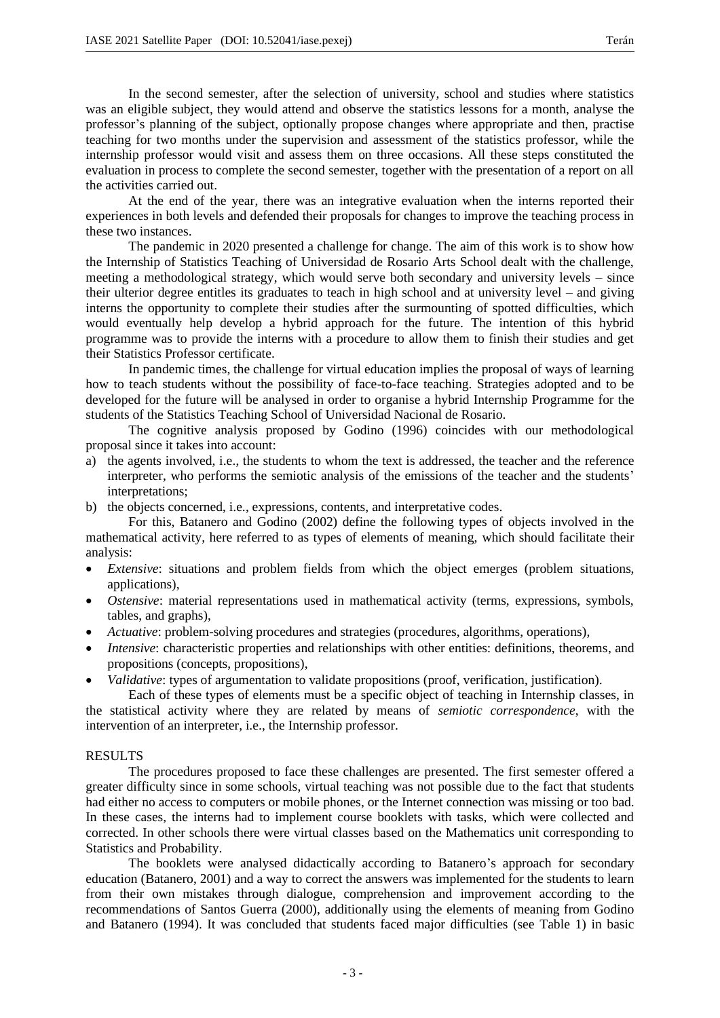In the second semester, after the selection of university, school and studies where statistics was an eligible subject, they would attend and observe the statistics lessons for a month, analyse the professor's planning of the subject, optionally propose changes where appropriate and then, practise teaching for two months under the supervision and assessment of the statistics professor, while the internship professor would visit and assess them on three occasions. All these steps constituted the evaluation in process to complete the second semester, together with the presentation of a report on all the activities carried out.

At the end of the year, there was an integrative evaluation when the interns reported their experiences in both levels and defended their proposals for changes to improve the teaching process in these two instances.

The pandemic in 2020 presented a challenge for change. The aim of this work is to show how the Internship of Statistics Teaching of Universidad de Rosario Arts School dealt with the challenge, meeting a methodological strategy, which would serve both secondary and university levels – since their ulterior degree entitles its graduates to teach in high school and at university level – and giving interns the opportunity to complete their studies after the surmounting of spotted difficulties, which would eventually help develop a hybrid approach for the future. The intention of this hybrid programme was to provide the interns with a procedure to allow them to finish their studies and get their Statistics Professor certificate.

In pandemic times, the challenge for virtual education implies the proposal of ways of learning how to teach students without the possibility of face-to-face teaching. Strategies adopted and to be developed for the future will be analysed in order to organise a hybrid Internship Programme for the students of the Statistics Teaching School of Universidad Nacional de Rosario.

The cognitive analysis proposed by Godino (1996) coincides with our methodological proposal since it takes into account:

- a) the agents involved, i.e., the students to whom the text is addressed, the teacher and the reference interpreter, who performs the semiotic analysis of the emissions of the teacher and the students' interpretations;
- b) the objects concerned, i.e., expressions, contents, and interpretative codes.

For this, Batanero and Godino (2002) define the following types of objects involved in the mathematical activity, here referred to as types of elements of meaning, which should facilitate their analysis:

- *Extensive*: situations and problem fields from which the object emerges (problem situations, applications),
- *Ostensive*: material representations used in mathematical activity (terms, expressions, symbols, tables, and graphs),
- *Actuative*: problem-solving procedures and strategies (procedures, algorithms, operations),
- *Intensive*: characteristic properties and relationships with other entities: definitions, theorems, and propositions (concepts, propositions),
- *Validative*: types of argumentation to validate propositions (proof, verification, justification).

Each of these types of elements must be a specific object of teaching in Internship classes, in the statistical activity where they are related by means of *semiotic correspondence*, with the intervention of an interpreter, i.e., the Internship professor.

#### RESULTS

The procedures proposed to face these challenges are presented. The first semester offered a greater difficulty since in some schools, virtual teaching was not possible due to the fact that students had either no access to computers or mobile phones, or the Internet connection was missing or too bad. In these cases, the interns had to implement course booklets with tasks, which were collected and corrected. In other schools there were virtual classes based on the Mathematics unit corresponding to Statistics and Probability.

The booklets were analysed didactically according to Batanero's approach for secondary education (Batanero, 2001) and a way to correct the answers was implemented for the students to learn from their own mistakes through dialogue, comprehension and improvement according to the recommendations of Santos Guerra (2000), additionally using the elements of meaning from Godino and Batanero (1994). It was concluded that students faced major difficulties (see Table 1) in basic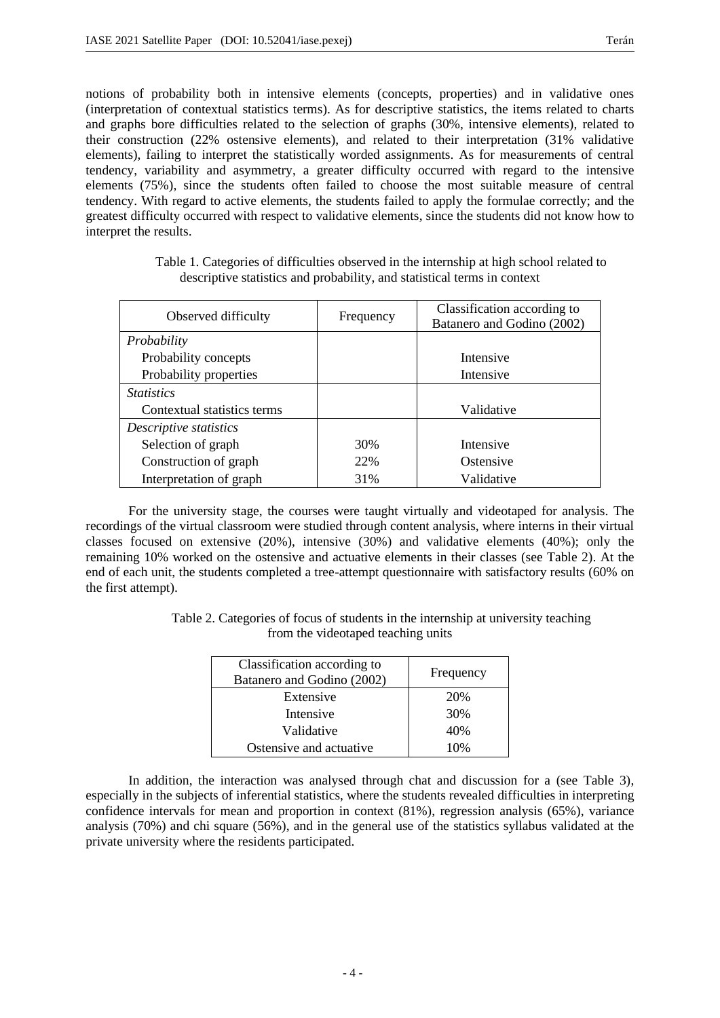notions of probability both in intensive elements (concepts, properties) and in validative ones (interpretation of contextual statistics terms). As for descriptive statistics, the items related to charts and graphs bore difficulties related to the selection of graphs (30%, intensive elements), related to their construction (22% ostensive elements), and related to their interpretation (31% validative elements), failing to interpret the statistically worded assignments. As for measurements of central tendency, variability and asymmetry, a greater difficulty occurred with regard to the intensive elements (75%), since the students often failed to choose the most suitable measure of central tendency. With regard to active elements, the students failed to apply the formulae correctly; and the greatest difficulty occurred with respect to validative elements, since the students did not know how to interpret the results.

| Table 1. Categories of difficulties observed in the internship at high school related to |  |
|------------------------------------------------------------------------------------------|--|
| descriptive statistics and probability, and statistical terms in context                 |  |

| Observed difficulty         | Frequency | Classification according to<br>Batanero and Godino (2002) |
|-----------------------------|-----------|-----------------------------------------------------------|
| Probability                 |           |                                                           |
| Probability concepts        |           | Intensive                                                 |
| Probability properties      |           | Intensive                                                 |
| <i>Statistics</i>           |           |                                                           |
| Contextual statistics terms |           | Validative                                                |
| Descriptive statistics      |           |                                                           |
| Selection of graph          | 30%       | Intensive                                                 |
| Construction of graph       | 22%       | Ostensive                                                 |
| Interpretation of graph     | 31%       | Validative                                                |

For the university stage, the courses were taught virtually and videotaped for analysis. The recordings of the virtual classroom were studied through content analysis, where interns in their virtual classes focused on extensive (20%), intensive (30%) and validative elements (40%); only the remaining 10% worked on the ostensive and actuative elements in their classes (see Table 2). At the end of each unit, the students completed a tree-attempt questionnaire with satisfactory results (60% on the first attempt).

> Table 2. Categories of focus of students in the internship at university teaching from the videotaped teaching units

| Classification according to<br>Batanero and Godino (2002) | Frequency |
|-----------------------------------------------------------|-----------|
| Extensive                                                 | 20%       |
| Intensive                                                 | 30%       |
| Validative                                                | 40%       |
| Ostensive and actuative                                   | 10%       |

In addition, the interaction was analysed through chat and discussion for a (see Table 3), especially in the subjects of inferential statistics, where the students revealed difficulties in interpreting confidence intervals for mean and proportion in context (81%), regression analysis (65%), variance analysis (70%) and chi square (56%), and in the general use of the statistics syllabus validated at the private university where the residents participated.